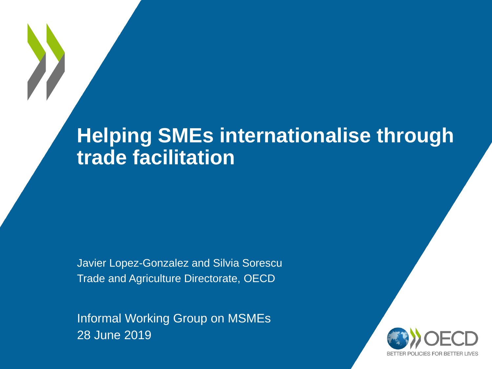# **Helping SMEs internationalise through trade facilitation**

Javier Lopez-Gonzalez and Silvia Sorescu Trade and Agriculture Directorate, OECD

Informal Working Group on MSMEs 28 June 2019

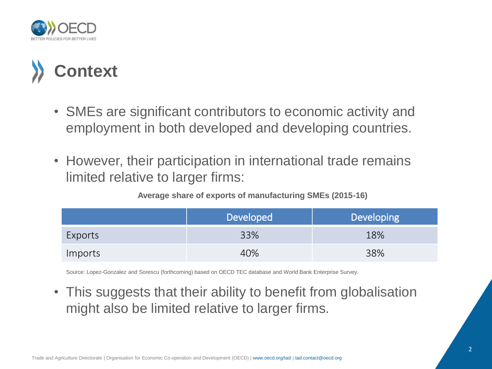



- SMEs are significant contributors to economic activity and employment in both developed and developing countries.
- However, their participation in international trade remains limited relative to larger firms:

| Average share of exports of manufacturing SMEs (2015-16) |  |  |  |  |
|----------------------------------------------------------|--|--|--|--|
|----------------------------------------------------------|--|--|--|--|

|         | <b>Developed</b> | <b>Developing</b> |
|---------|------------------|-------------------|
| Exports | 33%              | 18%               |
| Imports | 40%              | 38%               |

Source: Lopez-Gonzalez and Sorescu (forthcoming) based on OECD TEC database and World Bank Enterprise Survey.

• This suggests that their ability to benefit from globalisation might also be limited relative to larger firms.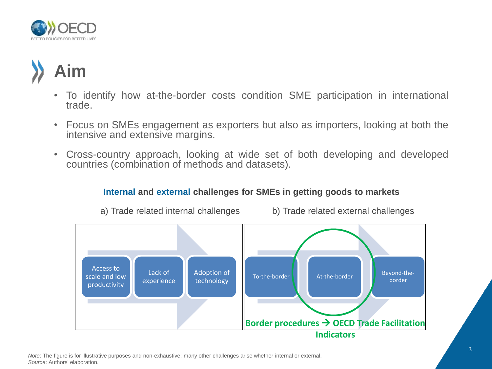

# **Aim**

- To identify how at-the-border costs condition SME participation in international trade.
- Focus on SMEs engagement as exporters but also as importers, looking at both the intensive and extensive margins.
- Cross-country approach, looking at wide set of both developing and developed countries (combination of methods and datasets).

#### **Internal and external challenges for SMEs in getting goods to markets**



a) Trade related internal challenges b) Trade related external challenges

Note: The figure is for illustrative purposes and non-exhaustive; many other challenges arise whether internal or external. *Source*: Authors' elaboration.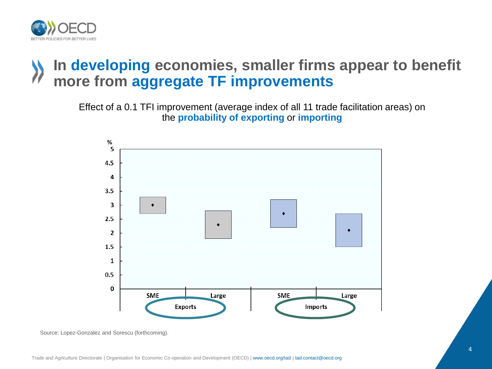

### **In developing economies, smaller firms appear to benefit more from aggregate TF improvements**

Effect of a 0.1 TFI improvement (average index of all 11 trade facilitation areas) on the **probability of exporting** or **importing**



Source: Lopez-Gonzalez and Sorescu (forthcoming).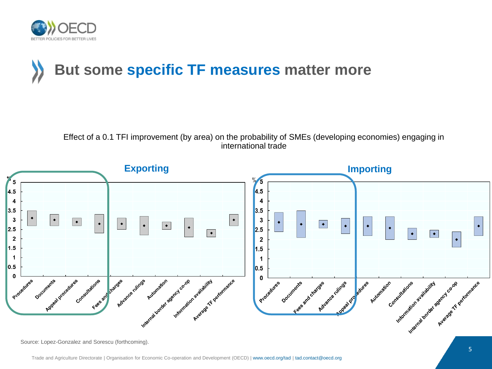

# **But some specific TF measures matter more**

Effect of a 0.1 TFI improvement (by area) on the probability of SMEs (developing economies) engaging in international trade

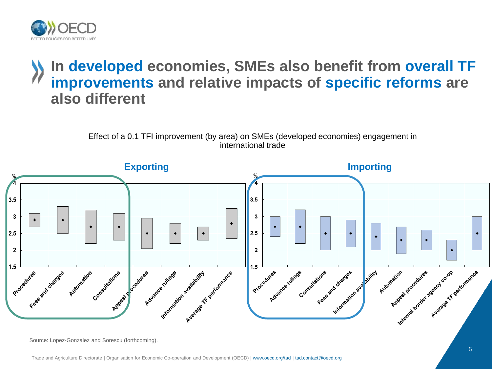

#### **In developed economies, SMEs also benefit from overall TF improvements and relative impacts of specific reforms are also different**

Effect of a 0.1 TFI improvement (by area) on SMEs (developed economies) engagement in international trade



Source: Lopez-Gonzalez and Sorescu (forthcoming).

Trade and Agriculture Directorate | Organisation for Economic Co-operation and Development (OECD) | www.oecd.org/tad | tad.contact@oecd.org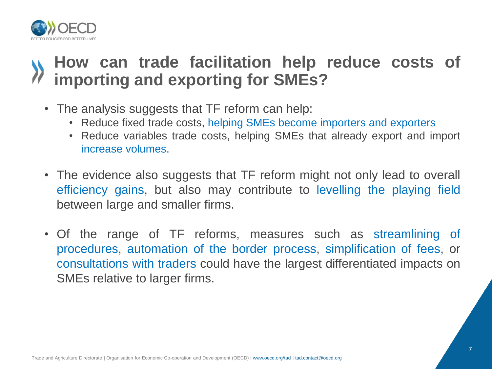

## **How can trade facilitation help reduce costs of importing and exporting for SMEs?**

- The analysis suggests that TF reform can help:
	- Reduce fixed trade costs, helping SMEs become importers and exporters
	- Reduce variables trade costs, helping SMEs that already export and import increase volumes.
- The evidence also suggests that TF reform might not only lead to overall efficiency gains, but also may contribute to levelling the playing field between large and smaller firms.
- Of the range of TF reforms, measures such as streamlining of procedures, automation of the border process, simplification of fees, or consultations with traders could have the largest differentiated impacts on SMEs relative to larger firms.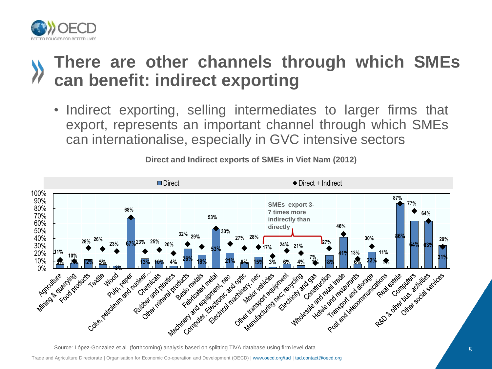

## **There are other channels through which SMEs can benefit: indirect exporting**

• Indirect exporting, selling intermediates to larger firms that export, represents an important channel through which SMEs can internationalise, especially in GVC intensive sectors



**Direct and Indirect exports of SMEs in Viet Nam (2012)**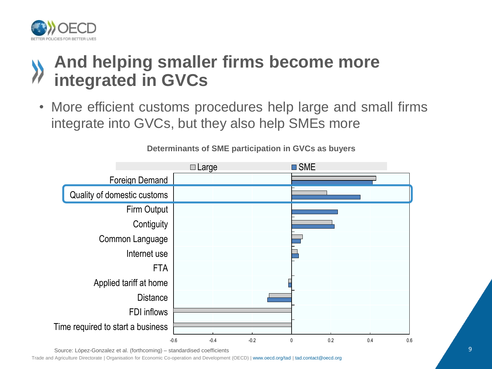

## **And helping smaller firms become more integrated in GVCs**

• More efficient customs procedures help large and small firms integrate into GVCs, but they also help SMEs more



**Determinants of SME participation in GVCs as buyers**

Source: López-Gonzalez et al. (forthcoming) – standardised coefficients

Trade and Agriculture Directorate | Organisation for Economic Co-operation and Development (OECD) | www.oecd.org/tad | tad.contact@oecd.org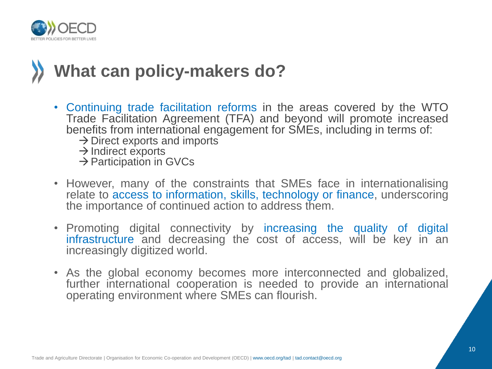

# **What can policy-makers do?**

- Continuing trade facilitation reforms in the areas covered by the WTO Trade Facilitation Agreement (TFA) and beyond will promote increased benefits from international engagement for SMEs, including in terms of:
	- $\rightarrow$  Direct exports and imports
	- $\rightarrow$  Indirect exports
	- $\rightarrow$  Participation in GVCs
- However, many of the constraints that SMEs face in internationalising relate to access to information, skills, technology or finance, underscoring the importance of continued action to address them.
- Promoting digital connectivity by increasing the quality of digital infrastructure and decreasing the cost of access, will be key in an increasingly digitized world.
- As the global economy becomes more interconnected and globalized, further international cooperation is needed to provide an international operating environment where SMEs can flourish.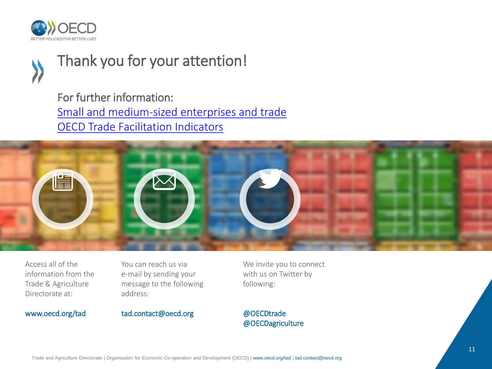



## Thank you for your attention!

For further information: [Small and medium-sized enterprises and trade](https://www.oecd.org/trade/topics/small-and-medium-enterprises-and-trade/) [OECD Trade Facilitation Indicators](http://www.oecd.org/trade/topics/trade-facilitation/)



Access all of the information from the Trade & Agriculture Directorate at:

#### www.oecd.org/tad

You can reach us via e-mail by sending your message to the following address:

tad.contact@oecd.org

We invite you to connect with us on Twitter by following:

@OECDtrade @OECDagriculture